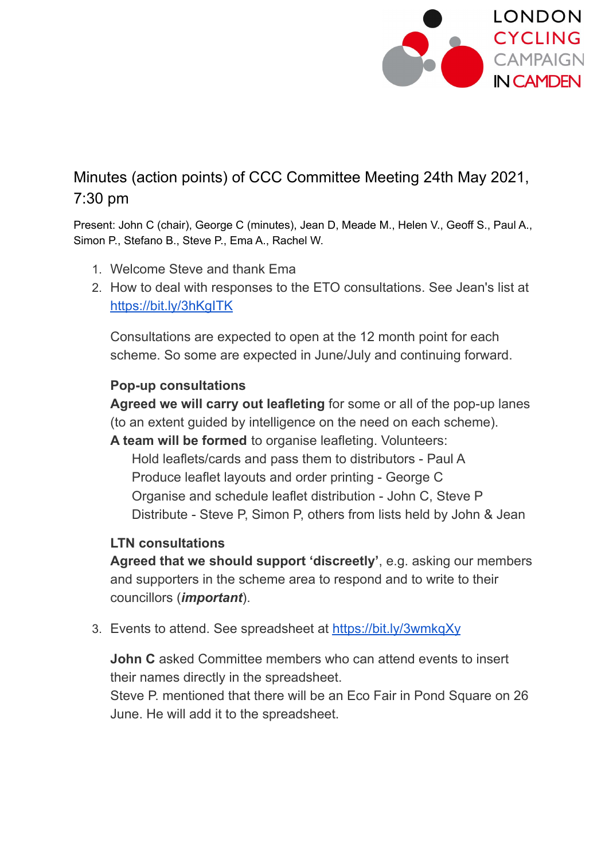

## Minutes (action points) of CCC Committee Meeting 24th May 2021, 7:30 pm

Present: John C (chair), George C (minutes), Jean D, Meade M., Helen V., Geoff S., Paul A., Simon P., Stefano B., Steve P., Ema A., Rachel W.

- 1. Welcome Steve and thank Ema
- 2. How to deal with responses to the ETO consultations. See Jean's list at <https://bit.ly/3hKgITK>

Consultations are expected to open at the 12 month point for each scheme. So some are expected in June/July and continuing forward.

## **Pop-up consultations**

**Agreed we will carry out leafleting** for some or all of the pop-up lanes (to an extent guided by intelligence on the need on each scheme).

**A team will be formed** to organise leafleting. Volunteers: Hold leaflets/cards and pass them to distributors - Paul A Produce leaflet layouts and order printing - George C Organise and schedule leaflet distribution - John C, Steve P Distribute - Steve P, Simon P, others from lists held by John & Jean

## **LTN consultations**

**Agreed that we should support 'discreetly'**, e.g. asking our members and supporters in the scheme area to respond and to write to their councillors (*important*).

3. Events to attend. See spreadsheet at <https://bit.ly/3wmkqXy>

**John C** asked Committee members who can attend events to insert their names directly in the spreadsheet.

Steve P. mentioned that there will be an Eco Fair in Pond Square on 26 June. He will add it to the spreadsheet.